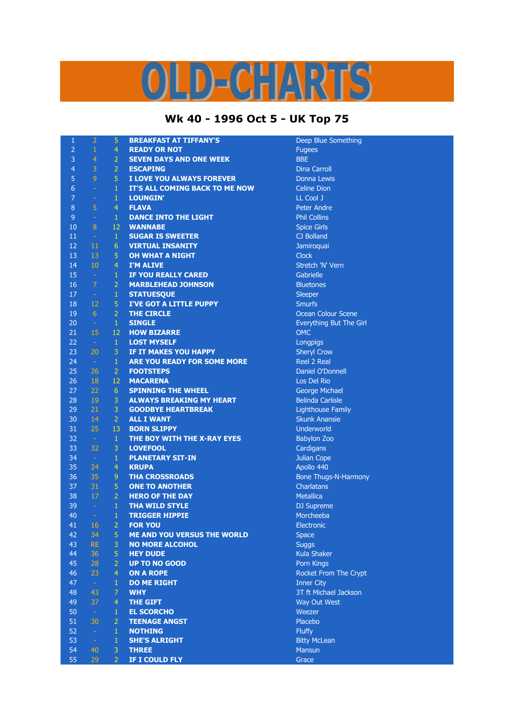## $\overline{\mathbf{A}}$  $\left(\begin{array}{c}\n\end{array}\right)$

## **Wk 40 - 1996 Oct 5 - UK Top 75**

| 1              | $\overline{2}$   | 5              | <b>BREAKFAST AT TIFFANY'S</b>      | Deep B          |
|----------------|------------------|----------------|------------------------------------|-----------------|
| $\overline{2}$ | $\mathbf 1$      | $\overline{4}$ | <b>READY OR NOT</b>                | <b>Fugees</b>   |
| $\overline{3}$ | $\overline{4}$   | $\overline{2}$ | <b>SEVEN DAYS AND ONE WEEK</b>     | <b>BBE</b>      |
| $\overline{4}$ | 3                | $\overline{2}$ | <b>ESCAPING</b>                    | Dina Ca         |
| 5              | 9                | 5              | I LOVE YOU ALWAYS FOREVER          | Donna I         |
| $\overline{6}$ | $\rightarrow$    | $\mathbf 1$    | IT'S ALL COMING BACK TO ME NOW     | Celine D        |
| $\overline{7}$ | ÷,               | $\mathbf 1$    | <b>LOUNGIN'</b>                    | <b>LL Cool</b>  |
| $\, 8$         | 5                | $\overline{4}$ | <b>FLAVA</b>                       | Peter A         |
| 9              | $\omega$         | $\mathbf{1}$   | <b>DANCE INTO THE LIGHT</b>        | Phil Col        |
| 10             | $\, 8$           | 12             | <b>WANNABE</b>                     | Spice G         |
| 11             | $\omega$         | $\mathbf{1}$   | <b>SUGAR IS SWEETER</b>            | CJ Bolla        |
| 12             | 11               | $6\phantom{a}$ | <b>VIRTUAL INSANITY</b>            | Jamirog         |
| 13             | 13               | $\overline{5}$ | <b>OH WHAT A NIGHT</b>             | <b>Clock</b>    |
| 14             | 10               | $\overline{4}$ | <b>I'M ALIVE</b>                   | <b>Stretch</b>  |
| 15             | $\sim$           | $\mathbf 1$    | IF YOU REALLY CARED                | Gabriell        |
| 16             | $\overline{7}$   | $\overline{2}$ | <b>MARBLEHEAD JOHNSON</b>          | <b>Blueton</b>  |
| 17             | $\sim$           | $\mathbf{1}$   | <b>STATUESQUE</b>                  | Sleeper         |
| 18             | 12               | 5              | I'VE GOT A LITTLE PUPPY            | <b>Smurfs</b>   |
| 19             | 6 <sup>1</sup>   | $\overline{2}$ | <b>THE CIRCLE</b>                  | Ocean (         |
| 20             | $\omega_{\rm c}$ | $1\,$          | <b>SINGLE</b>                      | Everyth         |
| 21             | 15               | 12             | <b>HOW BIZARRE</b>                 | <b>OMC</b>      |
| 22             | $\sim$           | $\mathbf{1}$   | <b>LOST MYSELF</b>                 | Longpig         |
| 23             | 20               | 3              | IF IT MAKES YOU HAPPY              | Sheryl O        |
| 24             |                  | $\mathbf{1}$   | ARE YOU READY FOR SOME MORE        | Reel 2 F        |
| 25             | $\sim$           | $\overline{2}$ | <b>FOOTSTEPS</b>                   |                 |
|                | 26               |                |                                    | Daniel 0        |
| 26             | 18               | 12             | <b>MACARENA</b>                    | Los Del         |
| 27             | 22               | 6 <sup>1</sup> | <b>SPINNING THE WHEEL</b>          | George          |
| 28             | 19               | 3              | <b>ALWAYS BREAKING MY HEART</b>    | Belinda         |
| 29             | 21               | 3              | <b>GOODBYE HEARTBREAK</b>          | Lightho         |
| 30             | 14               | $\overline{2}$ | <b>ALL I WANT</b>                  | Skunk A         |
| 31             | 25               | 13             | <b>BORN SLIPPY</b>                 | <b>Underw</b>   |
| 32             | $\sim$           | $1\,$          | THE BOY WITH THE X-RAY EYES        | <b>Babylor</b>  |
| 33             | 32               | 3              | <b>LOVEFOOL</b>                    | Cardiga         |
| 34             | $\sim$           | $\mathbf{1}$   | <b>PLANETARY SIT-IN</b>            | Julian C        |
| 35             | 24               | $\overline{4}$ | <b>KRUPA</b>                       | Apollo 4        |
| 36             | 35               | 9              | <b>THA CROSSROADS</b>              | <b>Bone Th</b>  |
| 37             | 31               | $\overline{5}$ | <b>ONE TO ANOTHER</b>              | Charlata        |
| 38             | 17               | $\overline{2}$ | <b>HERO OF THE DAY</b>             | Metallic        |
| 39             | $\sim$           | $\mathbf{1}$   | <b>THA WILD STYLE</b>              | DJ Supr         |
| 40             | $\sim$           | $\mathbf{1}$   | <b>TRIGGER HIPPIE</b>              | Morche          |
| 41             | 16               | 2 <sup>1</sup> | <b>FOR YOU</b>                     | Electror        |
| 42             | 34               | 5              | <b>ME AND YOU VERSUS THE WORLD</b> | <b>Space</b>    |
| 43             | RE               | 3              | <b>NO MORE ALCOHOL</b>             | <b>Suggs</b>    |
| 44             | 36               | 5              | <b>HEY DUDE</b>                    | Kula Sh         |
| 45             | 28               | $\overline{2}$ | <b>UP TO NO GOOD</b>               | Porn Kir        |
| 46             | 23               | $\overline{4}$ | <b>ON A ROPE</b>                   | Rocket          |
| 47             | $\sim$           | $\mathbf 1$    | <b>DO ME RIGHT</b>                 | Inner C         |
| 48             | 43               | $\overline{7}$ | <b>WHY</b>                         | 3T ft Mi        |
| 49             | 37               | $\overline{4}$ | <b>THE GIFT</b>                    | Way Ou          |
| 50             | $\omega$         | $\mathbf{1}$   | <b>EL SCORCHO</b>                  | Weezer          |
| 51             | 30               | $\overline{2}$ | <b>TEENAGE ANGST</b>               | Placebo         |
| 52             | $\omega$         | $\mathbf{1}$   | <b>NOTHING</b>                     | <b>Fluffy</b>   |
| 53             | $\equiv$         | $\mathbf 1$    | <b>SHE'S ALRIGHT</b>               | <b>Bitty Mo</b> |
| 54             | 40               | 3              | <b>THREE</b>                       | Mansun          |
| 55             | 29               | $\overline{2}$ | IF I COULD FLY                     | Grace           |
|                |                  |                |                                    |                 |

**Deep Blue Something Dina Carroll Donna Lewis Celine Dion** LL Cool J Peter Andre **Phil Collins Spice Girls** CJ Bolland **Jamiroquai** Stretch 'N' Vern Gabrielle **Bluetones Ocean Colour Scene** Everything But The Girl Longpigs **Sheryl Crow Reel 2 Real Daniel O'Donnell Los Del Rio** George Michael **Belinda Carlisle Lighthouse Family Skunk Anansie Underworld Babylon Zoo** Cardigans **Julian Cope** Apollo 440 **Bone Thugs-N-Harmony Charlatans Metallica DJ Supreme Morcheeba Electronic Kula Shaker Porn Kings Rocket From The Crypt Inner City** 3T ft Michael Jackson **Way Out West Bitty McLean**